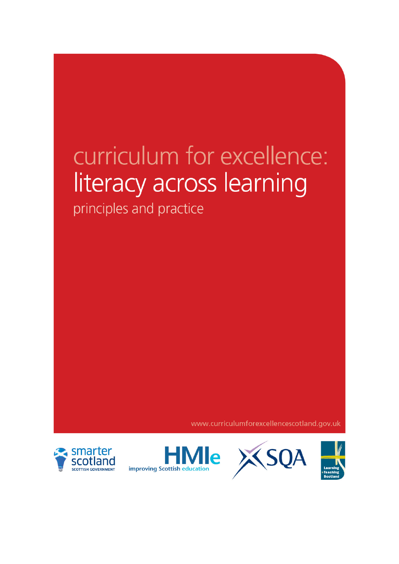# curriculum for excellence: literacy across learning

principles and practice

www.curriculumforexcellencescotland.gov.uk





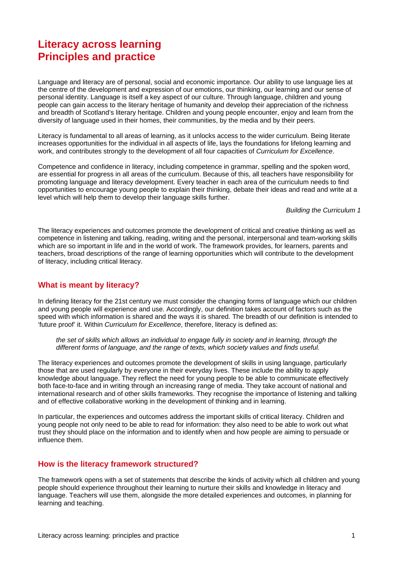## **Literacy across learning Principles and practice**

Language and literacy are of personal, social and economic importance. Our ability to use language lies at the centre of the development and expression of our emotions, our thinking, our learning and our sense of personal identity. Language is itself a key aspect of our culture. Through language, children and young people can gain access to the literary heritage of humanity and develop their appreciation of the richness and breadth of Scotland's literary heritage. Children and young people encounter, enjoy and learn from the diversity of language used in their homes, their communities, by the media and by their peers.

Literacy is fundamental to all areas of learning, as it unlocks access to the wider curriculum. Being literate increases opportunities for the individual in all aspects of life, lays the foundations for lifelong learning and work, and contributes strongly to the development of all four capacities of *Curriculum for Excellence*.

Competence and confidence in literacy, including competence in grammar, spelling and the spoken word, are essential for progress in all areas of the curriculum. Because of this, all teachers have responsibility for promoting language and literacy development. Every teacher in each area of the curriculum needs to find opportunities to encourage young people to explain their thinking, debate their ideas and read and write at a level which will help them to develop their language skills further.

*Building the Curriculum 1* 

The literacy experiences and outcomes promote the development of critical and creative thinking as well as competence in listening and talking, reading, writing and the personal, interpersonal and team-working skills which are so important in life and in the world of work. The framework provides, for learners, parents and teachers, broad descriptions of the range of learning opportunities which will contribute to the development of literacy, including critical literacy.

### **What is meant by literacy?**

In defining literacy for the 21st century we must consider the changing forms of language which our children and young people will experience and use. Accordingly, our definition takes account of factors such as the speed with which information is shared and the ways it is shared. The breadth of our definition is intended to 'future proof' it. Within *Curriculum for Excellence*, therefore, literacy is defined as:

*the set of skills which allows an individual to engage fully in society and in learning, through the different forms of language, and the range of texts, which society values and finds useful.* 

The literacy experiences and outcomes promote the development of skills in using language, particularly those that are used regularly by everyone in their everyday lives. These include the ability to apply knowledge about language. They reflect the need for young people to be able to communicate effectively both face-to-face and in writing through an increasing range of media. They take account of national and international research and of other skills frameworks. They recognise the importance of listening and talking and of effective collaborative working in the development of thinking and in learning.

In particular, the experiences and outcomes address the important skills of critical literacy. Children and young people not only need to be able to read for information: they also need to be able to work out what trust they should place on the information and to identify when and how people are aiming to persuade or influence them.

#### **How is the literacy framework structured?**

The framework opens with a set of statements that describe the kinds of activity which all children and young people should experience throughout their learning to nurture their skills and knowledge in literacy and language. Teachers will use them, alongside the more detailed experiences and outcomes, in planning for learning and teaching.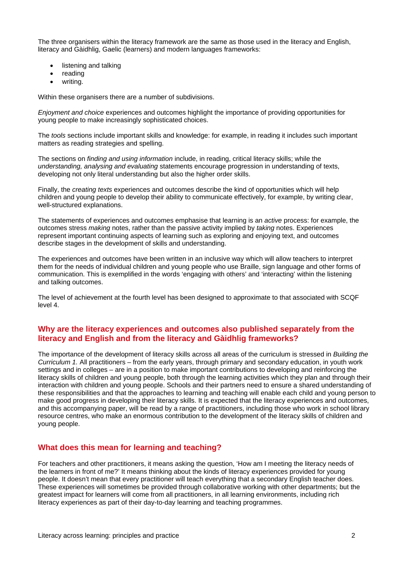The three organisers within the literacy framework are the same as those used in the literacy and English, literacy and Gàidhlig, Gaelic (learners) and modern languages frameworks:

- listening and talking
- reading
- writing.

Within these organisers there are a number of subdivisions.

*Enjoyment and choice* experiences and outcomes highlight the importance of providing opportunities for young people to make increasingly sophisticated choices.

The *tools* sections include important skills and knowledge: for example, in reading it includes such important matters as reading strategies and spelling.

The sections on *finding and using information* include, in reading, critical literacy skills; while the *understanding, analysing and evaluating* statements encourage progression in understanding of texts, developing not only literal understanding but also the higher order skills.

Finally, the *creating texts* experiences and outcomes describe the kind of opportunities which will help children and young people to develop their ability to communicate effectively, for example, by writing clear, well-structured explanations.

The statements of experiences and outcomes emphasise that learning is an *active* process: for example, the outcomes stress *making* notes, rather than the passive activity implied by *taking* notes. Experiences represent important continuing aspects of learning such as exploring and enjoying text, and outcomes describe stages in the development of skills and understanding.

The experiences and outcomes have been written in an inclusive way which will allow teachers to interpret them for the needs of individual children and young people who use Braille, sign language and other forms of communication. This is exemplified in the words 'engaging with others' and 'interacting' within the listening and talking outcomes.

The level of achievement at the fourth level has been designed to approximate to that associated with SCQF level 4.

## **Why are the literacy experiences and outcomes also published separately from the literacy and English and from the literacy and Gàidhlig frameworks?**

The importance of the development of literacy skills across all areas of the curriculum is stressed in *Building the Curriculum 1.* All practitioners – from the early years, through primary and secondary education, in youth work settings and in colleges – are in a position to make important contributions to developing and reinforcing the literacy skills of children and young people, both through the learning activities which they plan and through their interaction with children and young people. Schools and their partners need to ensure a shared understanding of these responsibilities and that the approaches to learning and teaching will enable each child and young person to make good progress in developing their literacy skills. It is expected that the literacy experiences and outcomes, and this accompanying paper, will be read by a range of practitioners, including those who work in school library resource centres, who make an enormous contribution to the development of the literacy skills of children and young people.

## **What does this mean for learning and teaching?**

For teachers and other practitioners, it means asking the question, 'How am I meeting the literacy needs of the learners in front of me?' It means thinking about the kinds of literacy experiences provided for young people. It doesn't mean that every practitioner will teach everything that a secondary English teacher does. These experiences will sometimes be provided through collaborative working with other departments; but the greatest impact for learners will come from all practitioners, in all learning environments, including rich literacy experiences as part of their day-to-day learning and teaching programmes.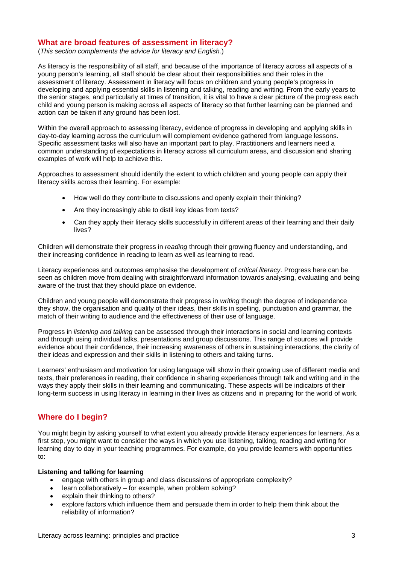### **What are broad features of assessment in literacy?**

(*This section complements the advice for literacy and English.*)

As literacy is the responsibility of all staff, and because of the importance of literacy across all aspects of a young person's learning, all staff should be clear about their responsibilities and their roles in the assessment of literacy. Assessment in literacy will focus on children and young people's progress in developing and applying essential skills in listening and talking, reading and writing. From the early years to the senior stages, and particularly at times of transition, it is vital to have a clear picture of the progress each child and young person is making across all aspects of literacy so that further learning can be planned and action can be taken if any ground has been lost.

Within the overall approach to assessing literacy, evidence of progress in developing and applying skills in day-to-day learning across the curriculum will complement evidence gathered from language lessons. Specific assessment tasks will also have an important part to play. Practitioners and learners need a common understanding of expectations in literacy across all curriculum areas, and discussion and sharing examples of work will help to achieve this.

Approaches to assessment should identify the extent to which children and young people can apply their literacy skills across their learning. For example:

- How well do they contribute to discussions and openly explain their thinking?
- Are they increasingly able to distil key ideas from texts?
- Can they apply their literacy skills successfully in different areas of their learning and their daily lives?

Children will demonstrate their progress in *reading* through their growing fluency and understanding, and their increasing confidence in reading to learn as well as learning to read.

Literacy experiences and outcomes emphasise the development of *critical literacy*. Progress here can be seen as children move from dealing with straightforward information towards analysing, evaluating and being aware of the trust that they should place on evidence.

Children and young people will demonstrate their progress in *writing* though the degree of independence they show, the organisation and quality of their ideas, their skills in spelling, punctuation and grammar, the match of their writing to audience and the effectiveness of their use of language.

Progress in *listening and talking* can be assessed through their interactions in social and learning contexts and through using individual talks, presentations and group discussions. This range of sources will provide evidence about their confidence, their increasing awareness of others in sustaining interactions, the clarity of their ideas and expression and their skills in listening to others and taking turns.

Learners' enthusiasm and motivation for using language will show in their growing use of different media and texts, their preferences in reading, their confidence in sharing experiences through talk and writing and in the ways they apply their skills in their learning and communicating. These aspects will be indicators of their long-term success in using literacy in learning in their lives as citizens and in preparing for the world of work.

## **Where do I begin?**

You might begin by asking yourself to what extent you already provide literacy experiences for learners. As a first step, you might want to consider the ways in which you use listening, talking, reading and writing for learning day to day in your teaching programmes. For example, do you provide learners with opportunities to:

#### **Listening and talking for learning**

- engage with others in group and class discussions of appropriate complexity?
- learn collaboratively for example, when problem solving?
- explain their thinking to others?
- explore factors which influence them and persuade them in order to help them think about the reliability of information?